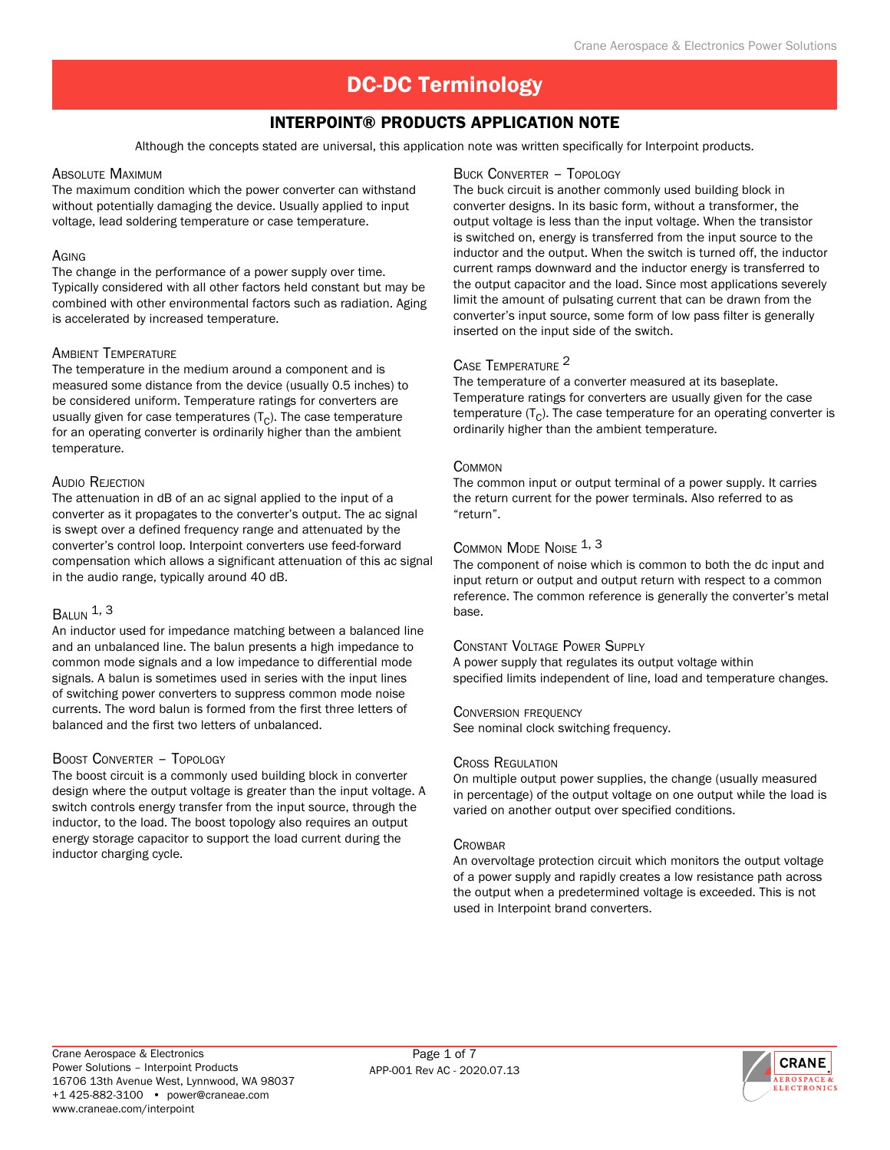# Interpoint® Products Application Note

Although the concepts stated are universal, this application note was written specifically for Interpoint products.

#### Absolute Maximum

The maximum condition which the power converter can withstand without potentially damaging the device. Usually applied to input voltage, lead soldering temperature or case temperature.

#### **A**GING

The change in the performance of a power supply over time. Typically considered with all other factors held constant but may be combined with other environmental factors such as radiation. Aging is accelerated by increased temperature.

# Ambient Temperature

The temperature in the medium around a component and is measured some distance from the device (usually 0.5 inches) to be considered uniform. Temperature ratings for converters are usually given for case temperatures  $(T<sub>C</sub>)$ . The case temperature for an operating converter is ordinarily higher than the ambient temperature.

# Audio Rejection

The attenuation in dB of an ac signal applied to the input of a converter as it propagates to the converter's output. The ac signal is swept over a defined frequency range and attenuated by the converter's control loop. Interpoint converters use feed-forward compensation which allows a significant attenuation of this ac signal in the audio range, typically around 40 dB.

# $B_{Al~IIN}$  1, 3

An inductor used for impedance matching between a balanced line and an unbalanced line. The balun presents a high impedance to common mode signals and a low impedance to differential mode signals. A balun is sometimes used in series with the input lines of switching power converters to suppress common mode noise currents. The word balun is formed from the first three letters of balanced and the first two letters of unbalanced.

# Boost Converter – Topology

The boost circuit is a commonly used building block in converter design where the output voltage is greater than the input voltage. A switch controls energy transfer from the input source, through the inductor, to the load. The boost topology also requires an output energy storage capacitor to support the load current during the inductor charging cycle.

#### Buck Converter – Topology

The buck circuit is another commonly used building block in converter designs. In its basic form, without a transformer, the output voltage is less than the input voltage. When the transistor is switched on, energy is transferred from the input source to the inductor and the output. When the switch is turned off, the inductor current ramps downward and the inductor energy is transferred to the output capacitor and the load. Since most applications severely limit the amount of pulsating current that can be drawn from the converter's input source, some form of low pass filter is generally inserted on the input side of the switch.

# Case Temperature 2

The temperature of a converter measured at its baseplate. Temperature ratings for converters are usually given for the case temperature  $(T<sub>C</sub>)$ . The case temperature for an operating converter is ordinarily higher than the ambient temperature.

#### **COMMON**

The common input or output terminal of a power supply. It carries the return current for the power terminals. Also referred to as "return".

# Common Mode Noise 1, 3

The component of noise which is common to both the dc input and input return or output and output return with respect to a common reference. The common reference is generally the converter's metal base.

# Constant Voltage Power Supply

A power supply that regulates its output voltage within specified limits independent of line, load and temperature changes.

#### Conversion frequency

See nominal clock switching frequency.

#### Cross Regulation

On multiple output power supplies, the change (usually measured in percentage) of the output voltage on one output while the load is varied on another output over specified conditions.

#### **CROWBAR**

An overvoltage protection circuit which monitors the output voltage of a power supply and rapidly creates a low resistance path across the output when a predetermined voltage is exceeded. This is not used in Interpoint brand converters.

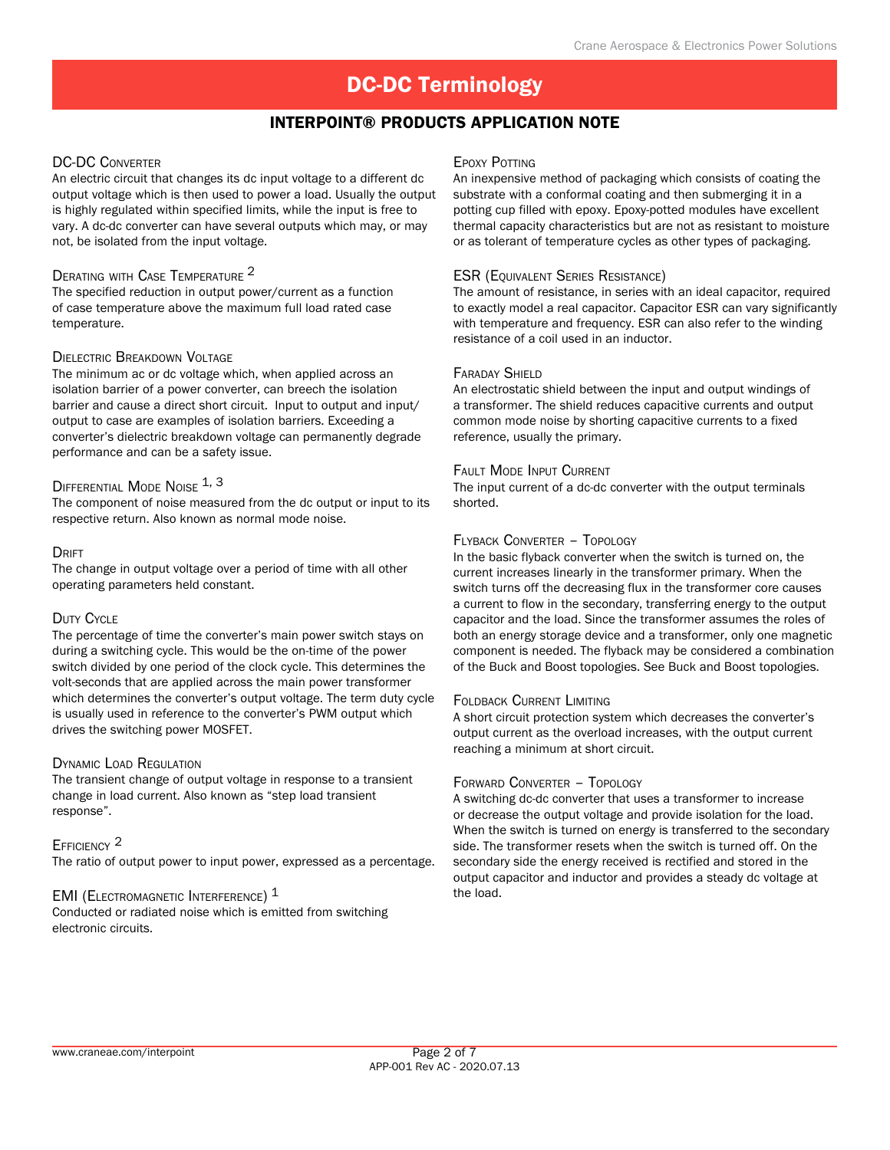# Interpoint® Products Application Note

# DC-DC Converter

An electric circuit that changes its dc input voltage to a different dc output voltage which is then used to power a load. Usually the output is highly regulated within specified limits, while the input is free to vary. A dc-dc converter can have several outputs which may, or may not, be isolated from the input voltage.

# Derating with Case Temperature 2

The specified reduction in output power/current as a function of case temperature above the maximum full load rated case temperature.

# Dielectric Breakdown Voltage

The minimum ac or dc voltage which, when applied across an isolation barrier of a power converter, can breech the isolation barrier and cause a direct short circuit. Input to output and input/ output to case are examples of isolation barriers. Exceeding a converter's dielectric breakdown voltage can permanently degrade performance and can be a safety issue.

# DIFFERENTIAL MODE NOISE 1, 3

The component of noise measured from the dc output or input to its respective return. Also known as normal mode noise.

#### DRIFT

The change in output voltage over a period of time with all other operating parameters held constant.

# DUTY CYCLE

The percentage of time the converter's main power switch stays on during a switching cycle. This would be the on-time of the power switch divided by one period of the clock cycle. This determines the volt-seconds that are applied across the main power transformer which determines the converter's output voltage. The term duty cycle is usually used in reference to the converter's PWM output which drives the switching power MOSFET.

# Dynamic Load Regulation

The transient change of output voltage in response to a transient change in load current. Also known as "step load transient response".

# EFFICIENCY<sup>2</sup>

The ratio of output power to input power, expressed as a percentage.

# EMI (ELECTROMAGNETIC INTERFERENCE)  $<sup>1</sup>$ </sup>

Conducted or radiated noise which is emitted from switching electronic circuits.

#### **EPOXY POTTING**

An inexpensive method of packaging which consists of coating the substrate with a conformal coating and then submerging it in a potting cup filled with epoxy. Epoxy-potted modules have excellent thermal capacity characteristics but are not as resistant to moisture or as tolerant of temperature cycles as other types of packaging.

# **ESR (EQUIVALENT SERIES RESISTANCE)**

The amount of resistance, in series with an ideal capacitor, required to exactly model a real capacitor. Capacitor ESR can vary significantly with temperature and frequency. ESR can also refer to the winding resistance of a coil used in an inductor.

#### FARADAY SHIFLD

An electrostatic shield between the input and output windings of a transformer. The shield reduces capacitive currents and output common mode noise by shorting capacitive currents to a fixed reference, usually the primary.

#### Fault Mode Input Current

The input current of a dc-dc converter with the output terminals shorted.

# Flyback Converter – Topology

In the basic flyback converter when the switch is turned on, the current increases linearly in the transformer primary. When the switch turns off the decreasing flux in the transformer core causes a current to flow in the secondary, transferring energy to the output capacitor and the load. Since the transformer assumes the roles of both an energy storage device and a transformer, only one magnetic component is needed. The flyback may be considered a combination of the Buck and Boost topologies. See Buck and Boost topologies.

# Foldback Current Limiting

A short circuit protection system which decreases the converter's output current as the overload increases, with the output current reaching a minimum at short circuit.

# Forward Converter – Topology

A switching dc-dc converter that uses a transformer to increase or decrease the output voltage and provide isolation for the load. When the switch is turned on energy is transferred to the secondary side. The transformer resets when the switch is turned off. On the secondary side the energy received is rectified and stored in the output capacitor and inductor and provides a steady dc voltage at the load.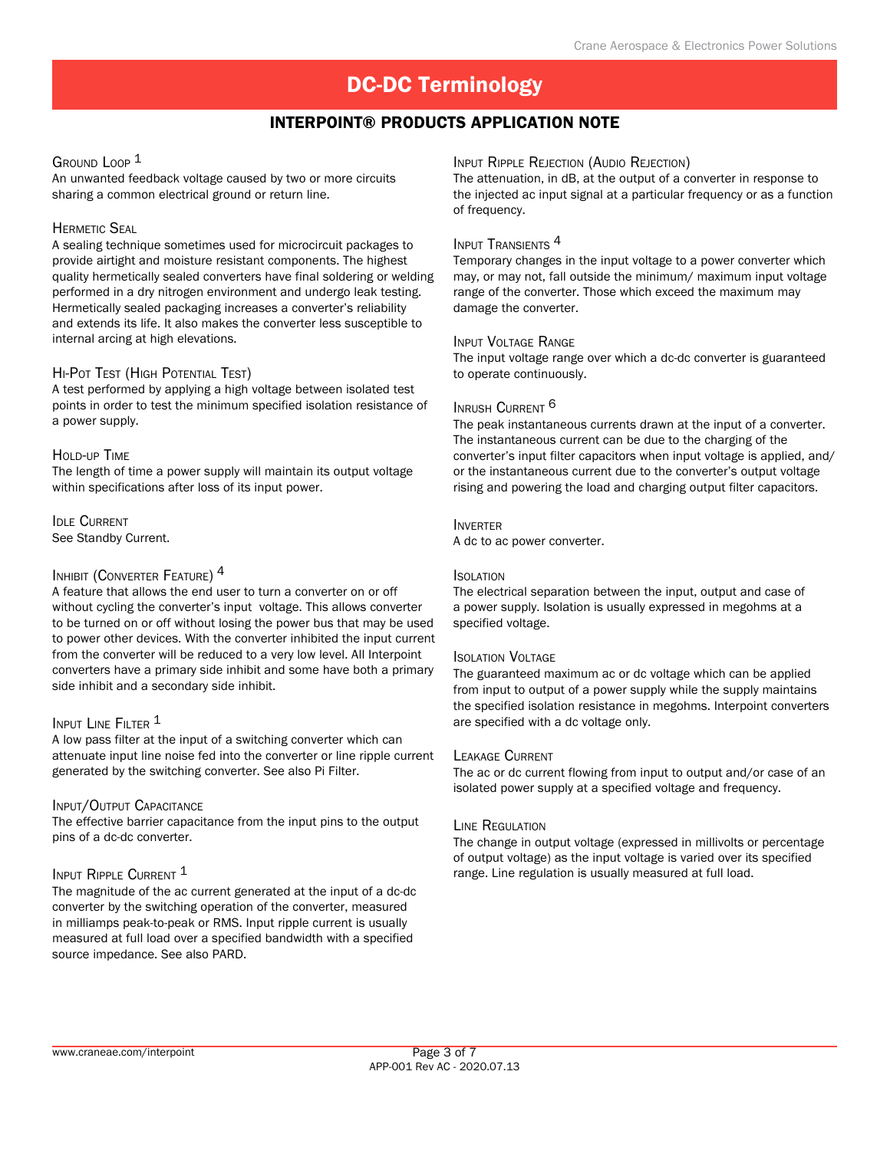# Interpoint® Products Application Note

# GROUND LOOP<sup>1</sup>

An unwanted feedback voltage caused by two or more circuits sharing a common electrical ground or return line.

# **HERMETIC SEAL**

A sealing technique sometimes used for microcircuit packages to provide airtight and moisture resistant components. The highest quality hermetically sealed converters have final soldering or welding performed in a dry nitrogen environment and undergo leak testing. Hermetically sealed packaging increases a converter's reliability and extends its life. It also makes the converter less susceptible to internal arcing at high elevations.

# Hi-Pot Test (High Potential Test)

A test performed by applying a high voltage between isolated test points in order to test the minimum specified isolation resistance of a power supply.

# HOLD-UP TIME

The length of time a power supply will maintain its output voltage within specifications after loss of its input power.

**IDLE CURRENT** See Standby Current.

# INHIBIT (CONVERTER FEATURE)<sup>4</sup>

A feature that allows the end user to turn a converter on or off without cycling the converter's input voltage. This allows converter to be turned on or off without losing the power bus that may be used to power other devices. With the converter inhibited the input current from the converter will be reduced to a very low level. All Interpoint converters have a primary side inhibit and some have both a primary side inhibit and a secondary side inhibit.

# INPUT LINE FILTER <sup>1</sup>

A low pass filter at the input of a switching converter which can attenuate input line noise fed into the converter or line ripple current generated by the switching converter. See also Pi Filter.

# INPUT/OUTPUT CAPACITANCE

The effective barrier capacitance from the input pins to the output pins of a dc-dc converter.

# INPUT RIPPLE CURRENT 1

The magnitude of the ac current generated at the input of a dc-dc converter by the switching operation of the converter, measured in milliamps peak-to-peak or RMS. Input ripple current is usually measured at full load over a specified bandwidth with a specified source impedance. See also PARD.

#### Input Ripple Rejection (Audio Rejection)

The attenuation, in dB, at the output of a converter in response to the injected ac input signal at a particular frequency or as a function of frequency.

#### INPUT TRANSIENTS<sup>4</sup>

Temporary changes in the input voltage to a power converter which may, or may not, fall outside the minimum/ maximum input voltage range of the converter. Those which exceed the maximum may damage the converter.

#### Input Voltage Range

The input voltage range over which a dc-dc converter is guaranteed to operate continuously.

# INRUSH CURRENT<sup>6</sup>

The peak instantaneous currents drawn at the input of a converter. The instantaneous current can be due to the charging of the converter's input filter capacitors when input voltage is applied, and/ or the instantaneous current due to the converter's output voltage rising and powering the load and charging output filter capacitors.

#### Inverter

A dc to ac power converter.

#### Isolation

The electrical separation between the input, output and case of a power supply. Isolation is usually expressed in megohms at a specified voltage.

# Isolation Voltage

The guaranteed maximum ac or dc voltage which can be applied from input to output of a power supply while the supply maintains the specified isolation resistance in megohms. Interpoint converters are specified with a dc voltage only.

# Leakage Current

The ac or dc current flowing from input to output and/or case of an isolated power supply at a specified voltage and frequency.

# Line Regulation

The change in output voltage (expressed in millivolts or percentage of output voltage) as the input voltage is varied over its specified range. Line regulation is usually measured at full load.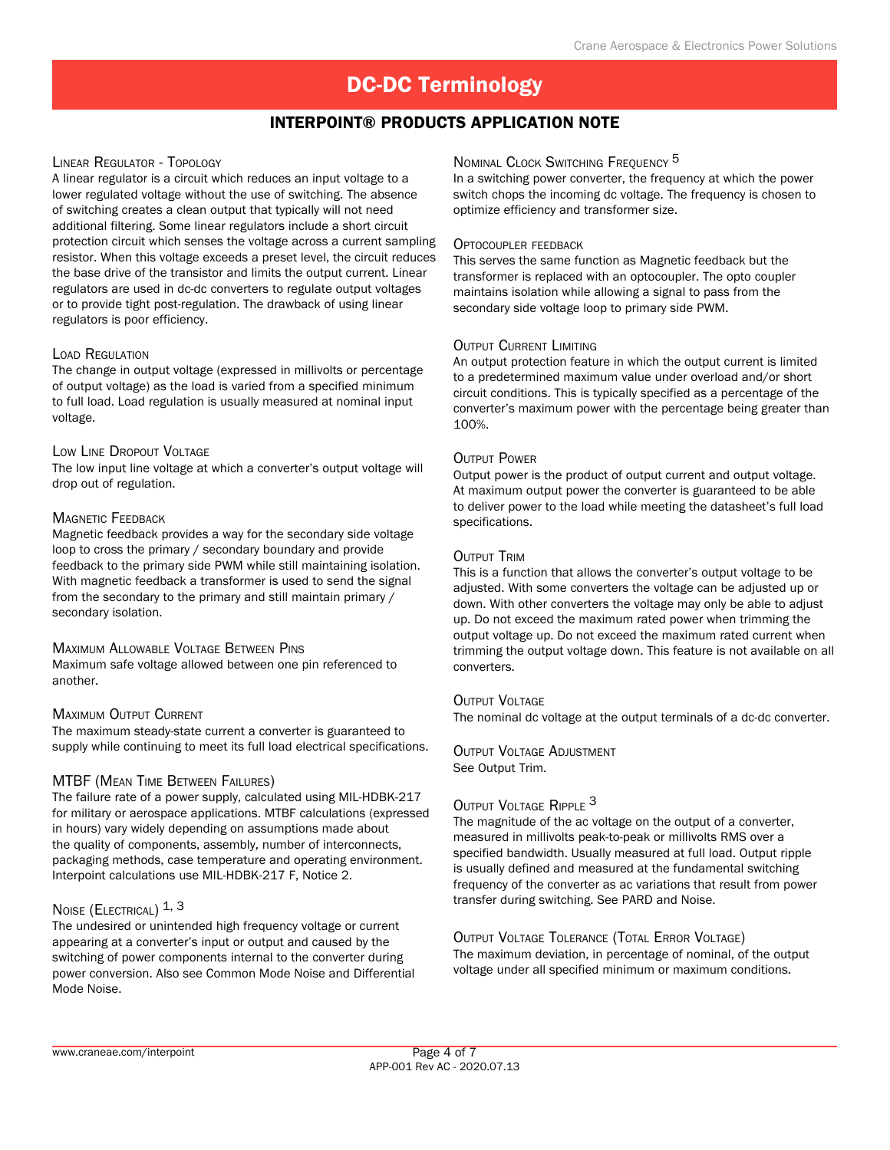# Interpoint® Products Application Note

# Linear Regulator - Topology

A linear regulator is a circuit which reduces an input voltage to a lower regulated voltage without the use of switching. The absence of switching creates a clean output that typically will not need additional filtering. Some linear regulators include a short circuit protection circuit which senses the voltage across a current sampling resistor. When this voltage exceeds a preset level, the circuit reduces the base drive of the transistor and limits the output current. Linear regulators are used in dc-dc converters to regulate output voltages or to provide tight post-regulation. The drawback of using linear regulators is poor efficiency.

# Load Regulation

The change in output voltage (expressed in millivolts or percentage of output voltage) as the load is varied from a specified minimum to full load. Load regulation is usually measured at nominal input voltage.

#### Low Line Dropout Voltage

The low input line voltage at which a converter's output voltage will drop out of regulation.

# **MAGNETIC FEEDBACK**

Magnetic feedback provides a way for the secondary side voltage loop to cross the primary / secondary boundary and provide feedback to the primary side PWM while still maintaining isolation. With magnetic feedback a transformer is used to send the signal from the secondary to the primary and still maintain primary / secondary isolation.

# Maximum Allowable Voltage Between Pins

Maximum safe voltage allowed between one pin referenced to another.

# Maximum Output Current

The maximum steady-state current a converter is guaranteed to supply while continuing to meet its full load electrical specifications.

# MTBF (Mean Time Between Failures)

The failure rate of a power supply, calculated using MIL-HDBK-217 for military or aerospace applications. MTBF calculations (expressed in hours) vary widely depending on assumptions made about the quality of components, assembly, number of interconnects, packaging methods, case temperature and operating environment. Interpoint calculations use MIL-HDBK-217 F, Notice 2.

# Noise (ELECTRICAL) 1, 3

The undesired or unintended high frequency voltage or current appearing at a converter's input or output and caused by the switching of power components internal to the converter during power conversion. Also see Common Mode Noise and Differential Mode Noise.

# NOMINAL CLOCK SWITCHING FREQUENCY<sup>5</sup>

In a switching power converter, the frequency at which the power switch chops the incoming dc voltage. The frequency is chosen to optimize efficiency and transformer size.

#### Optocoupler feedback

This serves the same function as Magnetic feedback but the transformer is replaced with an optocoupler. The opto coupler maintains isolation while allowing a signal to pass from the secondary side voltage loop to primary side PWM.

#### Output Current Limiting

An output protection feature in which the output current is limited to a predetermined maximum value under overload and/or short circuit conditions. This is typically specified as a percentage of the converter's maximum power with the percentage being greater than 100%.

# **OUTPUT POWER**

Output power is the product of output current and output voltage. At maximum output power the converter is guaranteed to be able to deliver power to the load while meeting the datasheet's full load specifications.

# OUTPUT TRIM

This is a function that allows the converter's output voltage to be adjusted. With some converters the voltage can be adjusted up or down. With other converters the voltage may only be able to adjust up. Do not exceed the maximum rated power when trimming the output voltage up. Do not exceed the maximum rated current when trimming the output voltage down. This feature is not available on all converters.

# OUTPUT VOLTAGE

The nominal dc voltage at the output terminals of a dc-dc converter.

Output Voltage Adjustment See Output Trim.

# OUTPUT VOLTAGE RIPPLE<sup>3</sup>

The magnitude of the ac voltage on the output of a converter, measured in millivolts peak-to-peak or millivolts RMS over a specified bandwidth. Usually measured at full load. Output ripple is usually defined and measured at the fundamental switching frequency of the converter as ac variations that result from power transfer during switching. See PARD and Noise.

Output Voltage Tolerance (Total Error Voltage) The maximum deviation, in percentage of nominal, of the output voltage under all specified minimum or maximum conditions.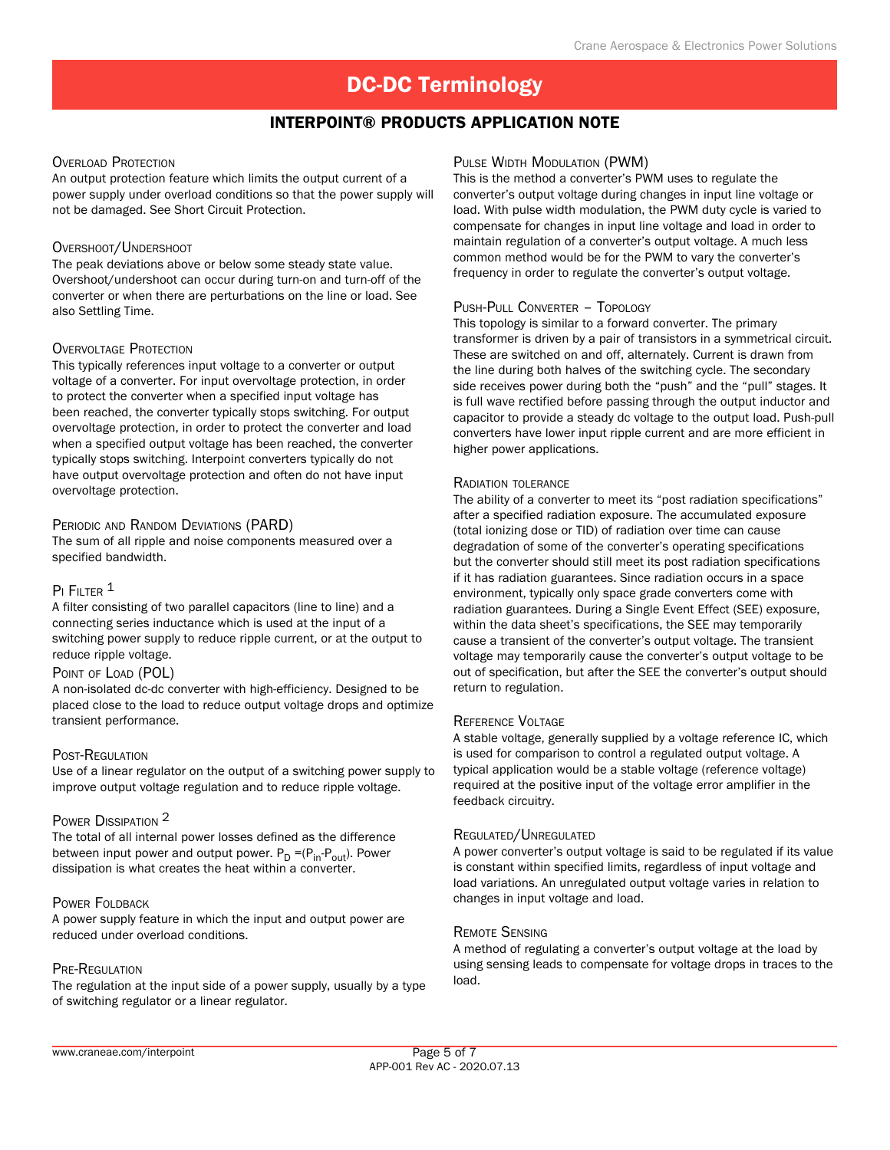# Interpoint® Products Application Note

#### OVERLOAD PROTECTION

An output protection feature which limits the output current of a power supply under overload conditions so that the power supply will not be damaged. See Short Circuit Protection.

#### OVERSHOOT/UNDERSHOOT

The peak deviations above or below some steady state value. Overshoot/undershoot can occur during turn-on and turn-off of the converter or when there are perturbations on the line or load. See also Settling Time.

#### OVERVOLTAGE PROTECTION

This typically references input voltage to a converter or output voltage of a converter. For input overvoltage protection, in order to protect the converter when a specified input voltage has been reached, the converter typically stops switching. For output overvoltage protection, in order to protect the converter and load when a specified output voltage has been reached, the converter typically stops switching. Interpoint converters typically do not have output overvoltage protection and often do not have input overvoltage protection.

#### PERIODIC AND RANDOM DEVIATIONS (PARD)

The sum of all ripple and noise components measured over a specified bandwidth.

# PI FILTER<sup>1</sup>

A filter consisting of two parallel capacitors (line to line) and a connecting series inductance which is used at the input of a switching power supply to reduce ripple current, or at the output to reduce ripple voltage.

#### POINT OF LOAD (POL)

A non-isolated dc-dc converter with high-efficiency. Designed to be placed close to the load to reduce output voltage drops and optimize transient performance.

#### POST-REGULATION

Use of a linear regulator on the output of a switching power supply to improve output voltage regulation and to reduce ripple voltage.

# POWER DISSIPATION 2

The total of all internal power losses defined as the difference between input power and output power.  $P_D = (P_{in} - P_{out})$ . Power dissipation is what creates the heat within a converter.

# POWER FOLDBACK

A power supply feature in which the input and output power are reduced under overload conditions.

#### Pre-Regulation

The regulation at the input side of a power supply, usually by a type of switching regulator or a linear regulator.

# Pulse Width Modulation (PWM)

This is the method a converter's PWM uses to regulate the converter's output voltage during changes in input line voltage or load. With pulse width modulation, the PWM duty cycle is varied to compensate for changes in input line voltage and load in order to maintain regulation of a converter's output voltage. A much less common method would be for the PWM to vary the converter's frequency in order to regulate the converter's output voltage.

#### Push-Pull Converter – Topology

This topology is similar to a forward converter. The primary transformer is driven by a pair of transistors in a symmetrical circuit. These are switched on and off, alternately. Current is drawn from the line during both halves of the switching cycle. The secondary side receives power during both the "push" and the "pull" stages. It is full wave rectified before passing through the output inductor and capacitor to provide a steady dc voltage to the output load. Push-pull converters have lower input ripple current and are more efficient in higher power applications.

#### Radiation tolerance

The ability of a converter to meet its "post radiation specifications" after a specified radiation exposure. The accumulated exposure (total ionizing dose or TID) of radiation over time can cause degradation of some of the converter's operating specifications but the converter should still meet its post radiation specifications if it has radiation guarantees. Since radiation occurs in a space environment, typically only space grade converters come with radiation guarantees. During a Single Event Effect (SEE) exposure, within the data sheet's specifications, the SEE may temporarily cause a transient of the converter's output voltage. The transient voltage may temporarily cause the converter's output voltage to be out of specification, but after the SEE the converter's output should return to regulation.

#### Reference Voltage

A stable voltage, generally supplied by a voltage reference IC, which is used for comparison to control a regulated output voltage. A typical application would be a stable voltage (reference voltage) required at the positive input of the voltage error amplifier in the feedback circuitry.

#### Regulated/Unregulated

A power converter's output voltage is said to be regulated if its value is constant within specified limits, regardless of input voltage and load variations. An unregulated output voltage varies in relation to changes in input voltage and load.

#### Remote Sensing

A method of regulating a converter's output voltage at the load by using sensing leads to compensate for voltage drops in traces to the load.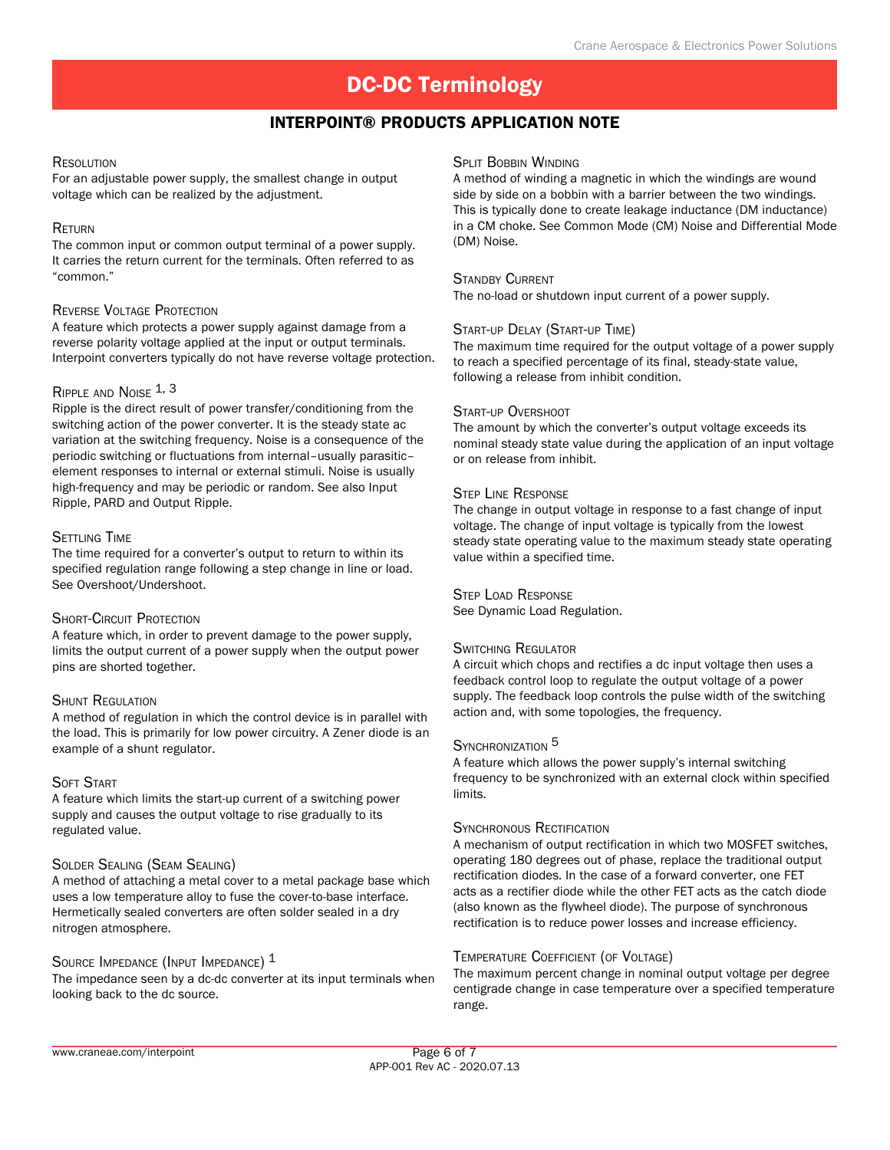# Interpoint® Products Application Note

# **RESOLUTION**

For an adjustable power supply, the smallest change in output voltage which can be realized by the adjustment.

#### **RETURN**

The common input or common output terminal of a power supply. It carries the return current for the terminals. Often referred to as "common."

# REVERSE VOLTAGE PROTECTION

A feature which protects a power supply against damage from a reverse polarity voltage applied at the input or output terminals. Interpoint converters typically do not have reverse voltage protection.

#### RIPPLE AND NOISE 1, 3

Ripple is the direct result of power transfer/conditioning from the switching action of the power converter. It is the steady state ac variation at the switching frequency. Noise is a consequence of the periodic switching or fluctuations from internal–usually parasitic– element responses to internal or external stimuli. Noise is usually high-frequency and may be periodic or random. See also Input Ripple, PARD and Output Ripple.

#### **SETTLING TIME**

The time required for a converter's output to return to within its specified regulation range following a step change in line or load. See Overshoot/Undershoot.

# SHORT-CIRCUIT PROTECTION

A feature which, in order to prevent damage to the power supply, limits the output current of a power supply when the output power pins are shorted together.

#### **SHUNT REGULATION**

A method of regulation in which the control device is in parallel with the load. This is primarily for low power circuitry. A Zener diode is an example of a shunt regulator.

# **SOFT START**

A feature which limits the start-up current of a switching power supply and causes the output voltage to rise gradually to its regulated value.

# Solder Sealing (Seam Sealing)

A method of attaching a metal cover to a metal package base which uses a low temperature alloy to fuse the cover-to-base interface. Hermetically sealed converters are often solder sealed in a dry nitrogen atmosphere.

# Source Impedance (Input Impedance)  $^{\rm 1}$

The impedance seen by a dc-dc converter at its input terminals when looking back to the dc source.

#### **SPLIT BOBBIN WINDING**

A method of winding a magnetic in which the windings are wound side by side on a bobbin with a barrier between the two windings. This is typically done to create leakage inductance (DM inductance) in a CM choke. See Common Mode (CM) Noise and Differential Mode (DM) Noise.

#### STANDBY CURRENT

The no-load or shutdown input current of a power supply.

#### Start-up Delay (Start-up Time)

The maximum time required for the output voltage of a power supply to reach a specified percentage of its final, steady-state value, following a release from inhibit condition.

#### START-UP OVERSHOOT

The amount by which the converter's output voltage exceeds its nominal steady state value during the application of an input voltage or on release from inhibit.

#### Step Line Response

The change in output voltage in response to a fast change of input voltage. The change of input voltage is typically from the lowest steady state operating value to the maximum steady state operating value within a specified time.

#### Step Load Response

See Dynamic Load Regulation.

# SWITCHING REGULATOR

A circuit which chops and rectifies a dc input voltage then uses a feedback control loop to regulate the output voltage of a power supply. The feedback loop controls the pulse width of the switching action and, with some topologies, the frequency.

# SYNCHRONIZATION<sup>5</sup>

A feature which allows the power supply's internal switching frequency to be synchronized with an external clock within specified limits.

#### SYNCHRONOUS RECTIFICATION

A mechanism of output rectification in which two MOSFET switches, operating 180 degrees out of phase, replace the traditional output rectification diodes. In the case of a forward converter, one FET acts as a rectifier diode while the other FET acts as the catch diode (also known as the flywheel diode). The purpose of synchronous rectification is to reduce power losses and increase efficiency.

#### Temperature Coefficient (of Voltage)

The maximum percent change in nominal output voltage per degree centigrade change in case temperature over a specified temperature range.